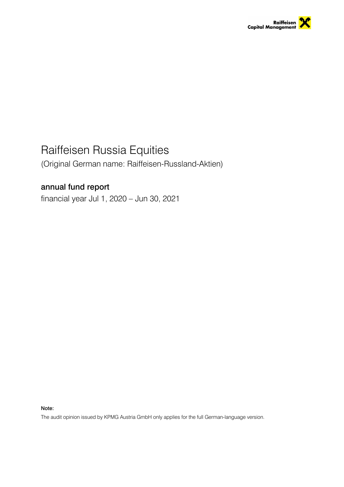

# Raiffeisen Russia Equities

(Original German name: Raiffeisen-Russland-Aktien)

# annual fund report

financial year Jul 1, 2020 – Jun 30, 2021

Note:

The audit opinion issued by KPMG Austria GmbH only applies for the full German-language version.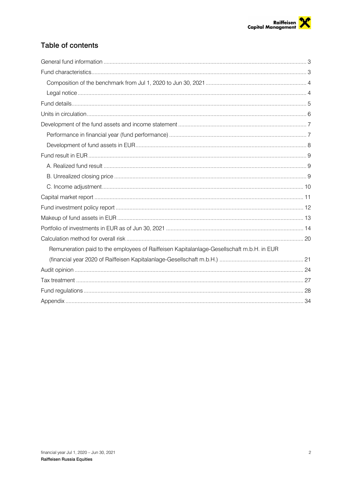# Table of contents

| Remuneration paid to the employees of Raiffeisen Kapitalanlage-Gesellschaft m.b.H. in EUR |  |
|-------------------------------------------------------------------------------------------|--|
|                                                                                           |  |
|                                                                                           |  |
|                                                                                           |  |
|                                                                                           |  |
|                                                                                           |  |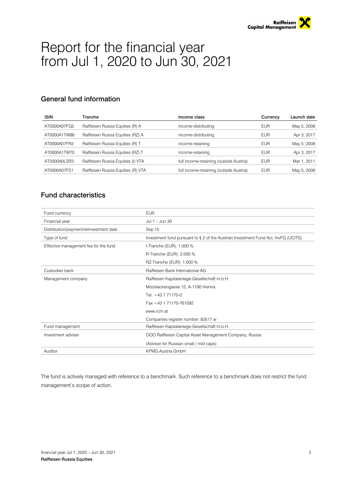# Report for the financial year from Jul 1, 2020 to Jun 30, 2021

# General fund information

| <b>ISIN</b>  | Tranche                            | Income class                            | Currency   | Launch date |
|--------------|------------------------------------|-----------------------------------------|------------|-------------|
| AT0000A07FQ5 | Raiffeisen Russia Equities (R) A   | income-distributing                     | <b>EUR</b> | May 5, 2008 |
| AT0000A1TW88 | Raiffeisen Russia Equities (RZ) A  | income-distributing                     | <b>EUR</b> | Apr 3, 2017 |
| AT0000A07FR3 | Raiffeisen Russia Equities (R) T   | income-retaining                        | <b>EUR</b> | May 5, 2008 |
| AT0000A1TW70 | Raiffeisen Russia Equities (RZ) T  | income-retaining                        | <b>EUR</b> | Apr 3, 2017 |
| AT0000A0LSR3 | Raiffeisen Russia Equities (I) VTA | full income-retaining (outside Austria) | <b>EUR</b> | Mar 1, 2011 |
| AT0000A07FS1 | Raiffeisen Russia Equities (R) VTA | full income-retaining (outside Austria) | <b>EUR</b> | May 5, 2008 |

# Fund characteristics

| Fund currency                          | <b>EUR</b>                                                                         |  |  |
|----------------------------------------|------------------------------------------------------------------------------------|--|--|
| Financial year                         | Jul 1 - Jun 30                                                                     |  |  |
| Distribution/payment/reinvestment date | Sep 15                                                                             |  |  |
| Type of fund                           | Investment fund pursuant to § 2 of the Austrian Investment Fund Act, InvFG (UCITS) |  |  |
| Effective management fee for the fund  | I-Tranche (EUR): 1.000 %                                                           |  |  |
|                                        | R-Tranche (EUR): 2.000 %                                                           |  |  |
|                                        | RZ-Tranche (EUR): 1.000 %                                                          |  |  |
| Custodian bank                         | Raiffeisen Bank International AG                                                   |  |  |
| Management company                     | Raiffeisen Kapitalanlage-Gesellschaft m.b.H.                                       |  |  |
|                                        | Mooslackengasse 12, A-1190 Vienna                                                  |  |  |
|                                        | Tel. +43 1 71170-0                                                                 |  |  |
|                                        | Fax +43 1 71170-761092                                                             |  |  |
|                                        | www.rcm.at                                                                         |  |  |
|                                        | Companies register number: 83517 w                                                 |  |  |
| Fund management                        | Raiffeisen Kapitalanlage-Gesellschaft m.b.H.                                       |  |  |
| Investment adviser                     | OOO Raiffeisen Capital Asset Management Company, Russia                            |  |  |
|                                        | (Adviser for Russian small / mid caps)                                             |  |  |
| Auditor                                | <b>KPMG Austria GmbH</b>                                                           |  |  |

The fund is actively managed with reference to a benchmark. Such reference to a benchmark does not restrict the fund management's scope of action.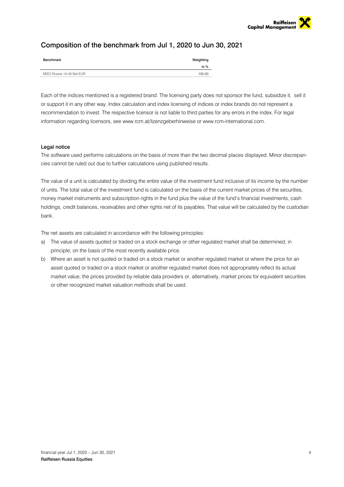# Composition of the benchmark from Jul 1, 2020 to Jun 30, 2021

| Benchmark                 | Weighting |
|---------------------------|-----------|
|                           | in $%$    |
| MSCI Russia 10-40 Net EUR | 100.00    |

Each of the indices mentioned is a registered brand. The licensing party does not sponsor the fund, subsidize it, sell it or support it in any other way. Index calculation and index licensing of indices or index brands do not represent a recommendation to invest. The respective licensor is not liable to third parties for any errors in the index. For legal information regarding licensors, see www.rcm.at/lizenzgeberhinweise or www.rcm-international.com.

### Legal notice

The software used performs calculations on the basis of more than the two decimal places displayed. Minor discrepancies cannot be ruled out due to further calculations using published results.

The value of a unit is calculated by dividing the entire value of the investment fund inclusive of its income by the number of units. The total value of the investment fund is calculated on the basis of the current market prices of the securities, money market instruments and subscription rights in the fund plus the value of the fund's financial investments, cash holdings, credit balances, receivables and other rights net of its payables. That value will be calculated by the custodian bank.

The net assets are calculated in accordance with the following principles:

- a) The value of assets quoted or traded on a stock exchange or other regulated market shall be determined, in principle, on the basis of the most recently available price.
- b) Where an asset is not quoted or traded on a stock market or another regulated market or where the price for an asset quoted or traded on a stock market or another regulated market does not appropriately reflect its actual market value, the prices provided by reliable data providers or, alternatively, market prices for equivalent securities or other recognized market valuation methods shall be used.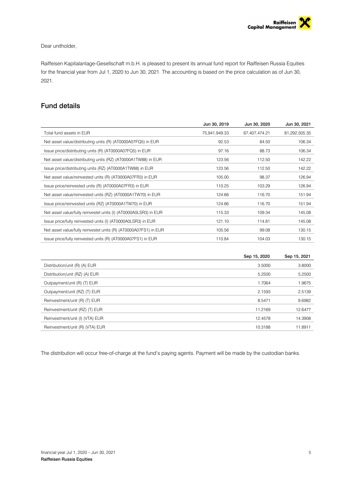### Dear unitholder,

Raiffeisen Kapitalanlage-Gesellschaft m.b.H. is pleased to present its annual fund report for Raiffeisen Russia Equities for the financial year from Jul 1, 2020 to Jun 30, 2021. The accounting is based on the price calculation as of Jun 30, 2021.

# Fund details

|                                                                  | Jun 30, 2019  | Jun 30, 2020  | Jun 30, 2021  |
|------------------------------------------------------------------|---------------|---------------|---------------|
| Total fund assets in EUR                                         | 75,941,949.33 | 67,407,474.21 | 81,292,505.35 |
| Net asset value/distributing units (R) (AT0000A07FQ5) in EUR     | 92.53         | 84.50         | 106.34        |
| Issue price/distributing units (R) (AT0000A07FQ5) in EUR         | 97.16         | 88.73         | 106.34        |
| Net asset value/distributing units (RZ) (AT0000A1TW88) in EUR    | 123.56        | 112.50        | 142.22        |
| Issue price/distributing units (RZ) (AT0000A1TW88) in EUR        | 123.56        | 112.50        | 142.22        |
| Net asset value/reinvested units (R) (AT0000A07FR3) in EUR       | 105.00        | 98.37         | 126.94        |
| Issue price/reinvested units (R) (AT0000A07FR3) in EUR           | 110.25        | 103.29        | 126.94        |
| Net asset value/reinvested units (RZ) (AT0000A1TW70) in EUR      | 124.66        | 116.70        | 151.94        |
| Issue price/reinvested units (RZ) (AT0000A1TW70) in EUR          | 124.66        | 116.70        | 151.94        |
| Net asset value/fully reinvestet units (I) (AT0000A0LSR3) in EUR | 115.33        | 109.34        | 145.08        |
| Issue price/fully reinvested units (I) (AT0000A0LSR3) in EUR     | 121.10        | 114.81        | 145.08        |
| Net asset value/fully reinvestet units (R) (AT0000A07FS1) in EUR | 105.56        | 99.08         | 130.15        |
| Issue price/fully reinvested units (R) (AT0000A07FS1) in EUR     | 110.84        | 104.03        | 130.15        |

|                                 | Sep 15, 2020 | Sep 15, 2021 |
|---------------------------------|--------------|--------------|
| Distribution/unit (R) (A) EUR   | 3.5000       | 3.8000       |
| Distribution/unit (RZ) (A) EUR  | 5.2500       | 5.2500       |
| Outpayment/unit (R) (T) EUR     | 1.7064       | 1.9675       |
| Outpayment/unit (RZ) (T) EUR    | 2.1593       | 2.5139       |
| Reinvestment/unit (R) (T) EUR   | 8.5471       | 9.6982       |
| Reinvestment/unit (RZ) (T) EUR  | 11.2169      | 12.6477      |
| Reinvestment/unit (I) (VTA) EUR | 12.4578      | 14.3908      |
| Reinvestment/unit (R) (VTA) EUR | 10.3188      | 11.8911      |

The distribution will occur free-of-charge at the fund's paying agents. Payment will be made by the custodian banks.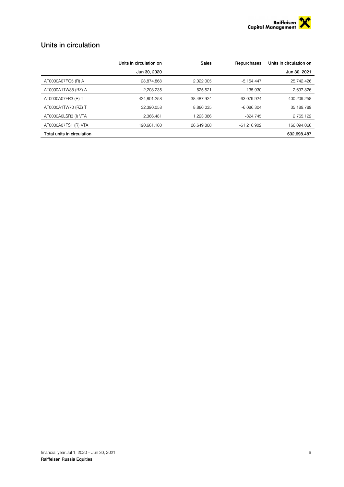

# Units in circulation

|                            | Units in circulation on | Sales      | Repurchases   | Units in circulation on |
|----------------------------|-------------------------|------------|---------------|-------------------------|
|                            | Jun 30, 2020            |            |               | Jun 30, 2021            |
| AT0000A07FQ5 (R) A         | 28,874.868              | 2.022.005  | $-5,154.447$  | 25,742.426              |
| AT0000A1TW88 (RZ) A        | 2.208.235               | 625.521    | $-135.930$    | 2.697.826               |
| AT0000A07FR3 (R) T         | 424.801.258             | 38.487.924 | -63.079.924   | 400.209.258             |
| AT0000A1TW70 (RZ) T        | 32.390.058              | 8.886.035  | $-6.086.304$  | 35.189.789              |
| AT0000A0LSR3 (I) VTA       | 2.366.481               | 1.223.386  | $-824.745$    | 2.765.122               |
| AT0000A07FS1 (R) VTA       | 190.661.160             | 26.649.808 | $-51.216.902$ | 166.094.066             |
| Total units in circulation |                         |            |               | 632.698.487             |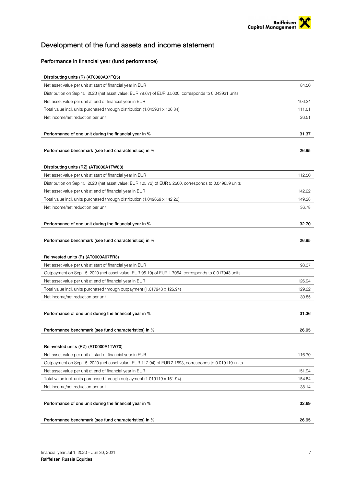

# Development of the fund assets and income statement

# Performance in financial year (fund performance)

| Distributing units (R) (AT0000A07FQ5)                                                                   |        |
|---------------------------------------------------------------------------------------------------------|--------|
| Net asset value per unit at start of financial year in EUR                                              | 84.50  |
| Distribution on Sep 15, 2020 (net asset value: EUR 79.67) of EUR 3.5000, corresponds to 0.043931 units  |        |
| Net asset value per unit at end of financial year in EUR                                                | 106.34 |
| Total value incl. units purchased through distribution (1.043931 x 106.34)                              | 111.01 |
| Net income/net reduction per unit                                                                       | 26.51  |
|                                                                                                         |        |
| Performance of one unit during the financial year in %                                                  | 31.37  |
|                                                                                                         |        |
| Performance benchmark (see fund characteristics) in %                                                   | 26.95  |
|                                                                                                         |        |
| Distributing units (RZ) (AT0000A1TW88)                                                                  |        |
| Net asset value per unit at start of financial year in EUR                                              | 112.50 |
| Distribution on Sep 15, 2020 (net asset value: EUR 105.72) of EUR 5.2500, corresponds to 0.049659 units |        |
| Net asset value per unit at end of financial year in EUR                                                | 142.22 |
| Total value incl. units purchased through distribution (1.049659 x 142.22)                              | 149.28 |
| Net income/net reduction per unit                                                                       | 36.78  |
|                                                                                                         |        |
| Performance of one unit during the financial year in %                                                  | 32.70  |
|                                                                                                         |        |
| Performance benchmark (see fund characteristics) in %                                                   | 26.95  |
|                                                                                                         |        |
| Reinvested units (R) (AT0000A07FR3)                                                                     |        |
| Net asset value per unit at start of financial year in EUR                                              | 98.37  |
| Outpayment on Sep 15, 2020 (net asset value: EUR 95.10) of EUR 1.7064, corresponds to 0.017943 units    |        |
| Net asset value per unit at end of financial year in EUR                                                | 126.94 |
| Total value incl. units purchased through outpayment (1.017943 x 126.94)                                | 129.22 |
| Net income/net reduction per unit                                                                       | 30.85  |
|                                                                                                         |        |
| Performance of one unit during the financial year in %                                                  | 31.36  |
|                                                                                                         |        |
| Performance benchmark (see fund characteristics) in %                                                   | 26.95  |
|                                                                                                         |        |
| Reinvested units (RZ) (AT0000A1TW70)                                                                    |        |
| Net asset value per unit at start of financial year in EUR                                              | 116.70 |
| Outpayment on Sep 15, 2020 (net asset value: EUR 112.94) of EUR 2.1593, corresponds to 0.019119 units   |        |
| Net asset value per unit at end of financial year in EUR                                                | 151.94 |
| Total value incl. units purchased through outpayment (1.019119 x 151.94)                                | 154.84 |
| Net income/net reduction per unit                                                                       | 38.14  |
|                                                                                                         |        |
| Performance of one unit during the financial year in %                                                  | 32.69  |
|                                                                                                         |        |
|                                                                                                         |        |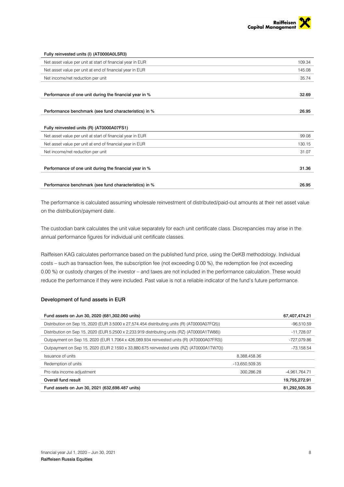

| Fully reinvested units (I) (AT0000A0LSR3)                  |        |
|------------------------------------------------------------|--------|
| Net asset value per unit at start of financial year in EUR | 109.34 |
| Net asset value per unit at end of financial year in EUR   | 145.08 |
| Net income/net reduction per unit                          | 35.74  |
|                                                            |        |
| Performance of one unit during the financial year in %     | 32.69  |
|                                                            |        |
| Performance benchmark (see fund characteristics) in %      | 26.95  |
|                                                            |        |
| Fully reinvested units (R) (AT0000A07FS1)                  |        |
| Net asset value per unit at start of financial year in EUR | 99.08  |
| Net asset value per unit at end of financial year in EUR   | 130.15 |
| Net income/net reduction per unit                          | 31.07  |
|                                                            |        |
| Performance of one unit during the financial year in %     | 31.36  |
|                                                            |        |
| Performance benchmark (see fund characteristics) in %      | 26.95  |

The performance is calculated assuming wholesale reinvestment of distributed/paid-out amounts at their net asset value on the distribution/payment date.

The custodian bank calculates the unit value separately for each unit certificate class. Discrepancies may arise in the annual performance figures for individual unit certificate classes.

Raiffeisen KAG calculates performance based on the published fund price, using the OeKB methodology. Individual costs – such as transaction fees, the subscription fee (not exceeding 0.00 %), the redemption fee (not exceeding 0.00 %) or custody charges of the investor – and taxes are not included in the performance calculation. These would reduce the performance if they were included. Past value is not a reliable indicator of the fund's future performance.

### Development of fund assets in EUR

| Fund assets on Jun 30, 2020 (681,302.060 units)                                              |                | 67,407,474.21 |
|----------------------------------------------------------------------------------------------|----------------|---------------|
| Distribution on Sep 15, 2020 (EUR 3.5000 x 27,574.454 distributing units (R) (AT0000A07FQ5)) |                | $-96,510.59$  |
| Distribution on Sep 15, 2020 (EUR 5.2500 x 2.233.919 distributing units (RZ) (AT0000A1TW88)) |                | $-11.728.07$  |
| Outpayment on Sep 15, 2020 (EUR 1.7064 x 426,089.934 reinvested units (R) (AT0000A07FR3))    |                | -727.079.86   |
| Outpayment on Sep 15, 2020 (EUR 2.1593 x 33,880.675 reinvested units (RZ) (AT0000A1TW70))    |                | -73.158.54    |
| Issuance of units                                                                            | 8,388,458.36   |               |
| Redemption of units                                                                          | -13.650.509.35 |               |
| Pro rata income adjustment                                                                   | 300.286.28     | -4.961,764.71 |
| Overall fund result                                                                          |                | 19,755,272.91 |
| Fund assets on Jun 30, 2021 (632,698.487 units)                                              |                | 81,292,505.35 |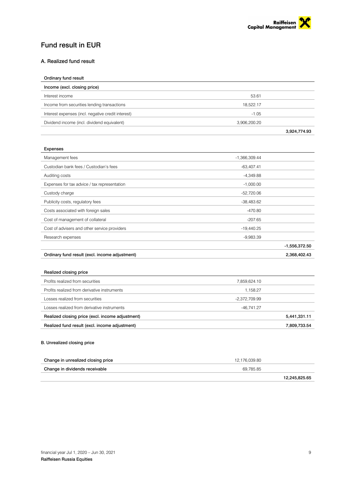

# Fund result in EUR

# A. Realized fund result

| Ordinary fund result                               |              |              |
|----------------------------------------------------|--------------|--------------|
| Income (excl. closing price)                       |              |              |
| Interest income                                    | 53.61        |              |
| Income from securities lending transactions        | 18.522.17    |              |
| Interest expenses (incl. negative credit interest) | $-1.05$      |              |
| Dividend income (incl. dividend equivalent)        | 3,906,200.20 |              |
|                                                    |              | 3.924.774.93 |

| Expenses                                       |                 |                 |
|------------------------------------------------|-----------------|-----------------|
| Management fees                                | $-1,366,309.44$ |                 |
| Custodian bank fees / Custodian's fees         | $-63,407.41$    |                 |
| Auditing costs                                 | $-4,349.88$     |                 |
| Expenses for tax advice / tax representation   | $-1,000.00$     |                 |
| Custody charge                                 | $-52,720.06$    |                 |
| Publicity costs, regulatory fees               | $-38,483.62$    |                 |
| Costs associated with foreign sales            | $-470.80$       |                 |
| Cost of management of collateral               | $-207.65$       |                 |
| Cost of advisers and other service providers   | $-19,440.25$    |                 |
| Research expenses                              | $-9,983.39$     |                 |
|                                                |                 | $-1,556,372.50$ |
| Ordinary fund result (excl. income adjustment) |                 | 2,368,402.43    |

| Realized fund result (excl. income adjustment)   |               | 7,809,733.54 |
|--------------------------------------------------|---------------|--------------|
| Realized closing price (excl. income adjustment) |               | 5,441,331.11 |
| Losses realized from derivative instruments      | -46.741.27    |              |
| Losses realized from securities                  | -2.372.709.99 |              |
| Profits realized from derivative instruments     | 1.158.27      |              |
| Profits realized from securities                 | 7,859,624.10  |              |
| Realized closing price                           |               |              |

# B. Unrealized closing price

| Change in unrealized closing price | 12.176.039.80 |
|------------------------------------|---------------|
| Change in dividends receivable     | 69.785.85     |
|                                    | 12.245.825.65 |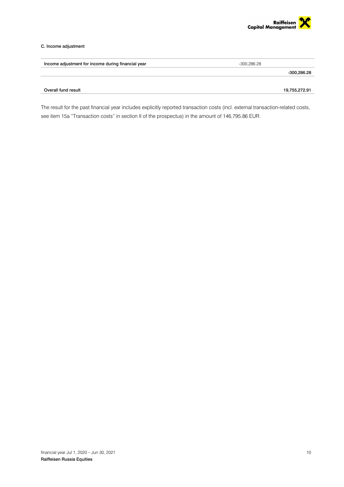

### C. Income adjustment

| -300.286.28   |
|---------------|
| -300,286.28   |
| 19,755,272.91 |
|               |

The result for the past financial year includes explicitly reported transaction costs (incl. external transaction-related costs, see item 15a "Transaction costs" in section II of the prospectus) in the amount of 146,795.86 EUR.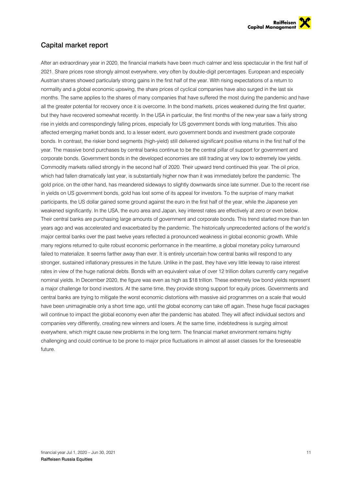

# Capital market report

After an extraordinary year in 2020, the financial markets have been much calmer and less spectacular in the first half of 2021. Share prices rose strongly almost everywhere, very often by double-digit percentages. European and especially Austrian shares showed particularly strong gains in the first half of the year. With rising expectations of a return to normality and a global economic upswing, the share prices of cyclical companies have also surged in the last six months. The same applies to the shares of many companies that have suffered the most during the pandemic and have all the greater potential for recovery once it is overcome. In the bond markets, prices weakened during the first quarter, but they have recovered somewhat recently. In the USA in particular, the first months of the new year saw a fairly strong rise in yields and correspondingly falling prices, especially for US government bonds with long maturities. This also affected emerging market bonds and, to a lesser extent, euro government bonds and investment grade corporate bonds. In contrast, the riskier bond segments (high-yield) still delivered significant positive returns in the first half of the year. The massive bond purchases by central banks continue to be the central pillar of support for government and corporate bonds. Government bonds in the developed economies are still trading at very low to extremely low yields. Commodity markets rallied strongly in the second half of 2020. Their upward trend continued this year. The oil price, which had fallen dramatically last year, is substantially higher now than it was immediately before the pandemic. The gold price, on the other hand, has meandered sideways to slightly downwards since late summer. Due to the recent rise in yields on US government bonds, gold has lost some of its appeal for investors. To the surprise of many market participants, the US dollar gained some ground against the euro in the first half of the year, while the Japanese yen weakened significantly. In the USA, the euro area and Japan, key interest rates are effectively at zero or even below. Their central banks are purchasing large amounts of government and corporate bonds. This trend started more than ten years ago and was accelerated and exacerbated by the pandemic. The historically unprecedented actions of the world's major central banks over the past twelve years reflected a pronounced weakness in global economic growth. While many regions returned to quite robust economic performance in the meantime, a global monetary policy turnaround failed to materialize. It seems farther away than ever. It is entirely uncertain how central banks will respond to any stronger, sustained inflationary pressures in the future. Unlike in the past, they have very little leeway to raise interest rates in view of the huge national debts. Bonds with an equivalent value of over 12 trillion dollars currently carry negative nominal yields. In December 2020, the figure was even as high as \$18 trillion. These extremely low bond yields represent a major challenge for bond investors. At the same time, they provide strong support for equity prices. Governments and central banks are trying to mitigate the worst economic distortions with massive aid programmes on a scale that would have been unimaginable only a short time ago, until the global economy can take off again. These huge fiscal packages will continue to impact the global economy even after the pandemic has abated. They will affect individual sectors and companies very differently, creating new winners and losers. At the same time, indebtedness is surging almost everywhere, which might cause new problems in the long term. The financial market environment remains highly challenging and could continue to be prone to major price fluctuations in almost all asset classes for the foreseeable future.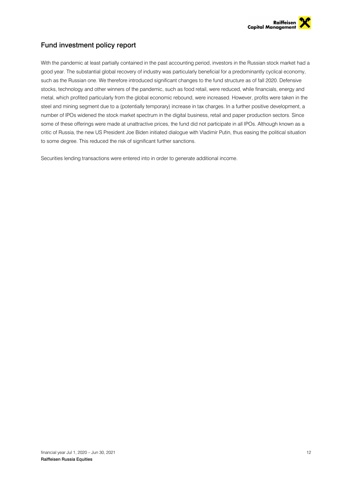

# Fund investment policy report

With the pandemic at least partially contained in the past accounting period, investors in the Russian stock market had a good year. The substantial global recovery of industry was particularly beneficial for a predominantly cyclical economy, such as the Russian one. We therefore introduced significant changes to the fund structure as of fall 2020. Defensive stocks, technology and other winners of the pandemic, such as food retail, were reduced, while financials, energy and metal, which profited particularly from the global economic rebound, were increased. However, profits were taken in the steel and mining segment due to a (potentially temporary) increase in tax charges. In a further positive development, a number of IPOs widened the stock market spectrum in the digital business, retail and paper production sectors. Since some of these offerings were made at unattractive prices, the fund did not participate in all IPOs. Although known as a critic of Russia, the new US President Joe Biden initiated dialogue with Vladimir Putin, thus easing the political situation to some degree. This reduced the risk of significant further sanctions.

Securities lending transactions were entered into in order to generate additional income.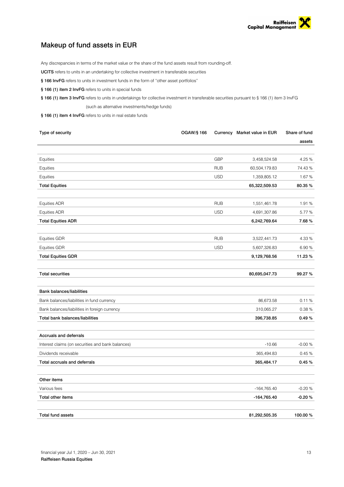

# Makeup of fund assets in EUR

Any discrepancies in terms of the market value or the share of the fund assets result from rounding-off.

UCITS refers to units in an undertaking for collective investment in transferable securities

- § 166 InvFG refers to units in investment funds in the form of "other asset portfolios"
- § 166 (1) item 2 InvFG refers to units in special funds

§ 166 (1) item 3 InvFG refers to units in undertakings for collective investment in transferable securities pursuant to § 166 (1) item 3 InvFG (such as alternative investments/hedge funds)

§ 166 (1) item 4 InvFG refers to units in real estate funds

| Type of security                                  | OGAW/§ 166 |            | Currency Market value in EUR | Share of fund |
|---------------------------------------------------|------------|------------|------------------------------|---------------|
|                                                   |            |            |                              | assets        |
|                                                   |            |            |                              |               |
| Equities                                          |            | <b>GBP</b> | 3,458,524.58                 | 4.25 %        |
| Equities                                          |            | <b>RUB</b> | 60,504,179.83                | 74.43%        |
| Equities                                          |            | <b>USD</b> | 1,359,805.12                 | 1.67%         |
| <b>Total Equities</b>                             |            |            | 65,322,509.53                | 80.35 %       |
| Equities ADR                                      |            | <b>RUB</b> | 1,551,461.78                 | 1.91%         |
| <b>Equities ADR</b>                               |            | <b>USD</b> | 4,691,307.86                 | 5.77 %        |
| <b>Total Equities ADR</b>                         |            |            | 6,242,769.64                 | 7.68%         |
| <b>Equities GDR</b>                               |            | <b>RUB</b> | 3,522,441.73                 | 4.33 %        |
| <b>Equities GDR</b>                               |            | <b>USD</b> | 5,607,326.83                 | 6.90%         |
| <b>Total Equities GDR</b>                         |            |            | 9,129,768.56                 | 11.23 %       |
| <b>Total securities</b>                           |            |            | 80,695,047.73                | 99.27 %       |
| <b>Bank balances/liabilities</b>                  |            |            |                              |               |
| Bank balances/liabilities in fund currency        |            |            | 86,673.58                    | 0.11%         |
| Bank balances/liabilities in foreign currency     |            |            | 310,065.27                   | 0.38%         |
| Total bank balances/liabilities                   |            |            | 396,738.85                   | 0.49%         |
| Accruals and deferrals                            |            |            |                              |               |
| Interest claims (on securities and bank balances) |            |            | $-10.66$                     | $-0.00%$      |
| Dividends receivable                              |            |            | 365,494.83                   | 0.45%         |
| Total accruals and deferrals                      |            |            | 365,484.17                   | 0.45%         |
| Other items                                       |            |            |                              |               |
| Various fees                                      |            |            | $-164,765.40$                | $-0.20%$      |
| Total other items                                 |            |            | -164,765.40                  | $-0.20%$      |
| <b>Total fund assets</b>                          |            |            | 81,292,505.35                | 100.00 %      |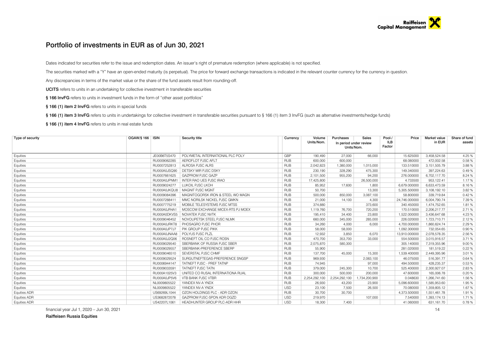# Portfolio of investments in EUR as of Jun 30, 2021

Dates indicated for securities refer to the issue and redemption dates. An issuer's right of premature redemption (where applicable) is not specified.

The securities marked with a "Y" have an open-ended maturity (is perpetual). The price for forward exchange transactions is indicated in the relevant counter currency for the currency in question.

Any discrepancies in terms of the market value or the share of the fund assets result from rounding-off.

UCITS refers to units in an undertaking for collective investment in transferable securities

§ 166 InvFG refers to units in investment funds in the form of "other asset portfolios"

§ 166 (1) item 2 InvFG refers to units in special funds

§ 166 (1) item 3 InvFG refers to units in undertakings for collective investment in transferable securities pursuant to § 166 (1) item 3 InvFG (such as alternative investments/hedge funds)

§ 166 (1) item 4 InvFG refers to units in real estate funds

| Type of security    | OGAW/§ 166   ISIN | Security title<br>Currency        |            | Volume        | Purchases                            | Sales         | Pool-/        | Price         | <b>Market value</b> | Share of fund |
|---------------------|-------------------|-----------------------------------|------------|---------------|--------------------------------------|---------------|---------------|---------------|---------------------|---------------|
|                     |                   |                                   |            | Units/Nom.    | In period under review<br>Units/Nom. |               | ILB<br>Factor |               | in EUR              | assets        |
|                     |                   |                                   |            |               |                                      |               |               |               |                     |               |
| Equities            | JE00B6T5S470      | POLYMETAL INTERNATIONAL PLC POLY  | GBP        | 190,490       | 27,000                               | 66,000        |               | 15.625000     | 3,458,524.58        | 4.25 %        |
| Equities            | RU0009062285      | AEROFLOT PJSC AFLT                | <b>RUB</b> | 600.000       | 600,000                              |               |               | 68,080000     | 472.002.58          | 0.58%         |
| Equities            | RU0007252813      | ALROSA PJSC ALRS                  | <b>RUB</b> | 2,042,823     | 1,380,000                            | 1,015,000     |               | 133.510000    | 3,151,505.79        | 3.88%         |
| Equities            | RU000A0JSQ90      | DETSKY MIR PJSC DSKY              | <b>RUB</b> | 230,190       | 328,290                              | 475,300       |               | 149.340000    | 397,224.63          | 0.49%         |
| Equities            | RU0007661625      | <b>GAZPROM PJSC GAZP</b>          | <b>RUB</b> | 2,101,500     | 955,200                              | 94,200        |               | 276.000000    | 6,702,117.70        | 8.24 %        |
| Equities            | RU000A0JPNM1      | <b>INTER RAO UES PJSC IRAO</b>    | <b>RUB</b> | 17,425,800    |                                      | 26,500,000    |               | 4.733500      | 953,122.41          | 1.17%         |
| Equities            | RU0009024277      | LUKOIL PJSC LKOH                  | <b>RUB</b> | 85,952        | 17,600                               | 1,800         |               | 6,679.000000  | 6,633,473.59        | 8.16%         |
| Equities            | RU000A0JKQU8      | MAGNIT PJSC MGNT                  | <b>RUB</b> | 50,700        |                                      | 13,300        |               | 5,305.500000  | 3,108,192.10        | 3.82%         |
| Equities            | RU0009084396      | MAGNITOGORSK IRON & STEEL WO MAGN | <b>RUB</b> | 500,000       | 850,000                              | 3,087,100     |               | 58.800000     | 339,719.84          | 0.42%         |
| Equities            | RU0007288411      | MMC NORILSK NICKEL PJSC GMKN      | <b>RUB</b> | 21,000        | 14,100                               | 4,300         |               | 24,746.000000 | 6,004,790.74        | 7.39 %        |
| Equities            | RU0007775219      | MOBILE TELESYSTEMS PJSC MTSS      | <b>RUB</b> | 374,880       |                                      | 373,600       |               | 340.450000    | 1,474,752.65        | 1.81%         |
| Equities            | RU000A0JR4A1      | MOSCOW EXCHANGE MICEX-RTS PJ MOEX | <b>RUB</b> | 1,119,760     | 76.700                               | 720,200       |               | 170.510000    | 2,206,217.77        | 2.71%         |
| Equities            | RU000A0DKVS5      | NOVATEK PJSC NVTK                 | <b>RUB</b> | 195,410       | 34,400                               | 23,800        |               | 1,522.000000  | 3,436,647.68        | 4.23 %        |
| Equities            | RU0009046452      | NOVOLIPETSK STEEL PJSC NLMK       | <b>RUB</b> | 660,000       | 345,000                              | 285,000       |               | 226.020000    | 1,723,710.71        | 2.12%         |
| Equities            | RU000A0JRKT8      | PHOSAGRO PJSC PHOR                | <b>RUB</b> | 34.260        | 4.000                                | 6.000         |               | 4.700.000000  | 1.860.624.74        | 2.29 %        |
| Equities            | RU000A0JP7J7      | PIK GROUP PJSC PIKK               | <b>RUB</b> | 58,000        | 58,000                               |               |               | 1.092.300000  | 732.054.65          | 0.90 %        |
| Equities            | RU000A0JNAA8      | POLYUS PJSC PLZL                  | <b>RUB</b> | 12.932        | 3,850                                | 6,070         |               | 13,910.000000 | 2,078,578.35        | 2.56 %        |
| Equities            | RU000A0J2Q06      | ROSNEFT OIL CO PJSC ROSN          | <b>RUB</b> | 470,700       | 353.700                              | 33,000        |               | 554.500000    | 3,015,916.57        | 3.71 %        |
| Equities            | RU0009029540      | SBERBANK OF RUSSIA PJSC SBER      | <b>RUB</b> | 2,075,870     | 580.300                              |               |               | 305.140000    | 7,319,355.96        | 9.00 %        |
| Equities            | RU000902955       | SBERBANK-PREFERENCE SBERP         | <b>RUB</b> | 55,900        |                                      |               |               | 281.020000    | 181,519.22          | 0.22 %        |
| Equities            | RU0009046510      | SEVERSTAL PJSC CHMF               | <b>RUB</b> | 137,700       | 45,000                               | 15,300        |               | 1,539.400000  | 2,449,395.96        | 3.01 %        |
| Equities            | RU0009029524      | SURGUTNEFTEGAS-PREFERENCE SNGSP   | <b>RUB</b> | 969,930       |                                      | 2,083,100     |               | 46.075000     | 516,391.77          | 0.64 %        |
| Equities            | RU0006944147      | TATNEFT PJSC - PREF TATNP         | <b>RUB</b> | 74,945        |                                      | 97,000        |               | 494.500000    | 428,235.37          | 0.53%         |
| Equities            | RU000903359       | <b>TATNEFT PJSC TATN</b>          | <b>RUB</b> | 379,000       | 245,300                              | 10,700        |               | 525.400000    | 2,300,927.07        | 2.83%         |
| Equities            | RU000A1025V3      | UNITED CO RUSAL INTERNATIONA RUAL | <b>RUB</b> | 300,000       | 500,000                              | 200,000       |               | 47.600000     | 165.006.78          | 0.20%         |
| Equities            | RU000A0JP5V6      | <b>VTB BANK PJSC VTBR</b>         | <b>RUB</b> | 2,254,292,100 | 2,254,292,100                        | 1,734,200,900 |               | 0.048630      | 1,266,741.60        | 1.56 %        |
| Equities            | NL0009805522      | YANDEX NV-A YNDX                  | <b>RUB</b> | 26,930        | 43,200                               | 23,900        |               | 5,096.600000  | 1,585,953.60        | 1.95 %        |
| Equities            | NL0009805522      | YANDEX NV-A YNDX                  | <b>USD</b> | 23,100        | 7.500                                | 26,500        |               | 70.080000     | 1,359,805.12        | 1.67%         |
| <b>Equities ADR</b> | US69269L1044      | OZON HOLDINGS PLC - ADR OZON      | <b>RUB</b> | 30,700        | 30,700                               |               |               | 4,373.500000  | 1,551,461.78        | 1.91%         |
| <b>Equities ADR</b> | US3682872078      | GAZPROM PJSC-SPON ADR OGZD        | <b>USD</b> | 219,970       |                                      | 107,000       |               | 7.540000      | 1,393,174.13        | 1.71%         |
| <b>Equities ADR</b> | US42207L1061      | HEADHUNTER GROUP PLC-ADR HHR      | <b>USD</b> | 18,300        | 7.400                                |               |               | 41.060000     | 631.161.70          | 0.78%         |

financial year Jul 1, 2020 – Jun 30, 2021 14

Raiffeisen Russia Equities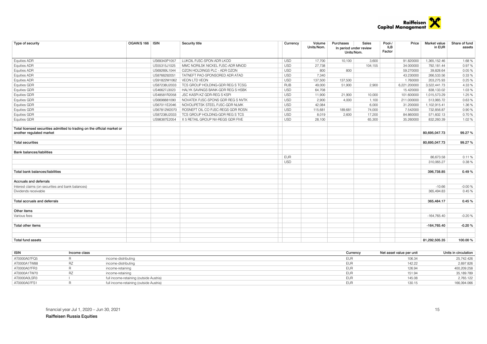

| Type of security                                                                                    | OGAW/§ 166   ISIN |              | Security title                    | Currency   | Volume<br>Units/Nom. | Purchases<br>In period under review<br>Units/Nom. | <b>Sales</b> | Pool-/<br><b>ILB</b><br>Factor | Price        | Market value<br>in EUR | Share of fund<br>assets |
|-----------------------------------------------------------------------------------------------------|-------------------|--------------|-----------------------------------|------------|----------------------|---------------------------------------------------|--------------|--------------------------------|--------------|------------------------|-------------------------|
| <b>Equities ADR</b>                                                                                 |                   | US69343P1057 | LUKOIL PJSC-SPON ADR LKOD         | <b>USD</b> | 17,700               | 10,100                                            | 3,600        |                                | 91.820000    | 1,365,152.46           | 1.68%                   |
| <b>Equities ADR</b>                                                                                 |                   | US55315J1025 | MMC NORILSK NICKEL PJSC-ADR MNOD  | <b>USD</b> | 27,738               |                                                   | 104,155      |                                | 34.000000    | 792,181.44             | 0.97%                   |
| <b>Equities ADR</b>                                                                                 |                   | US69269L1044 | OZON HOLDINGS PLC - ADR OZON      | <b>USD</b> | 800                  | 800                                               |              |                                | 59.270000    | 39,828.64              | 0.05%                   |
| <b>Equities ADR</b>                                                                                 |                   | US8766292051 | TATNEFT PAO-SPONSORED ADR ATAD    | <b>USD</b> | 7.340                |                                                   |              |                                | 43.230000    | 266,533.56             | 0.33%                   |
| <b>Equities ADR</b>                                                                                 |                   | US91822M1062 | VEON LTD VEON                     | <b>USD</b> | 137,500              | 137,500                                           |              |                                | 1.760000     | 203,275.93             | 0.25 %                  |
| <b>Equities GDR</b>                                                                                 |                   | US87238U2033 | TCS GROUP HOLDING-GDR REG S TCSG  | <b>RUB</b> | 49.000               | 51,900                                            | 2,900        |                                | 6,221.200000 | 3,522,441.73           | 4.33%                   |
| <b>Equities GDR</b>                                                                                 |                   | US46627J3023 | HALYK SAVINGS BANK-GDR REG S HSBK | <b>USD</b> | 64,708               |                                                   |              |                                | 15.420000    | 838,133.02             | 1.03%                   |
| <b>Equities GDR</b>                                                                                 |                   | US48581R2058 | JSC KASPI.KZ GDR-REG S KSPI       | <b>USD</b> | 11,900               | 21,900                                            | 10,000       |                                | 101.600000   | 1,015,573.29           | 1.25 %                  |
| <b>Equities GDR</b>                                                                                 |                   | US6698881090 | NOVATEK PJSC-SPONS GDR REG S NVTK | <b>USD</b> | 2.900                | 4,000                                             | 1,100        |                                | 211.000000   | 513,985.72             | 0.63%                   |
| <b>Equities GDR</b>                                                                                 |                   | US67011E2046 | NOVOLIPETSK STEEL PJSC-GDR NLMK   | <b>USD</b> | 42,084               |                                                   | 6,000        |                                | 31.200000    | 1,102,915.41           | 1.36%                   |
| <b>Equities GDR</b>                                                                                 |                   | US67812M2070 | ROSNEFT OIL CO PJSC-REGS GDR ROSN | <b>USD</b> | 115,681              | 189,681                                           | 74,000       |                                | 7.542000     | 732,856.87             | 0.90%                   |
| <b>Equities GDR</b>                                                                                 |                   | US87238U2033 | TCS GROUP HOLDING-GDR REG S TCS   | <b>USD</b> | 8,019                | 2,600                                             | 17,200       |                                | 84.860000    | 571,602.13             | 0.70%                   |
| <b>Equities GDR</b>                                                                                 |                   | US98387E2054 | X 5 RETAIL GROUP NV-REGS GDR FIVE | <b>USD</b> | 28,100               |                                                   | 65,300       |                                | 35.260000    | 832,260.39             | 1.02%                   |
| Total licensed securities admitted to trading on the official market or<br>another regulated market |                   |              |                                   |            |                      |                                                   |              |                                |              | 80,695,047.73          | 99.27%                  |
|                                                                                                     |                   |              |                                   |            |                      |                                                   |              |                                |              |                        |                         |
| <b>Total securities</b>                                                                             |                   |              |                                   |            |                      |                                                   |              |                                |              | 80,695,047.73          | 99.27%                  |
| <b>Bank balances/liabilities</b>                                                                    |                   |              |                                   |            |                      |                                                   |              |                                |              |                        |                         |
|                                                                                                     |                   |              |                                   | <b>EUR</b> |                      |                                                   |              |                                |              | 86,673.58              | 0.11%                   |
|                                                                                                     |                   |              |                                   | <b>USD</b> |                      |                                                   |              |                                |              | 310,065.27             | 0.38%                   |
| Total bank balances/liabilities                                                                     |                   |              |                                   |            |                      |                                                   |              |                                |              | 396,738.85             | 0.49%                   |
| Accruals and deferrals                                                                              |                   |              |                                   |            |                      |                                                   |              |                                |              |                        |                         |
| Interest claims (on securities and bank balances)                                                   |                   |              |                                   |            |                      |                                                   |              |                                |              | $-10.66$               | $-0.00%$                |
| Dividends receivable                                                                                |                   |              |                                   |            |                      |                                                   |              |                                |              | 365.494.83             | 0.45 %                  |
| Total accruals and deferrals                                                                        |                   |              |                                   |            |                      |                                                   |              |                                |              | 365,484.17             | 0.45 %                  |
| Other items                                                                                         |                   |              |                                   |            |                      |                                                   |              |                                |              |                        |                         |
| Various fees                                                                                        |                   |              |                                   |            |                      |                                                   |              |                                |              | $-164,765.40$          | $-0.20%$                |
| <b>Total other items</b>                                                                            |                   |              |                                   |            |                      |                                                   |              |                                |              | -164,765.40            | $-0.20%$                |
|                                                                                                     |                   |              |                                   |            |                      |                                                   |              |                                |              |                        |                         |
| <b>Total fund assets</b>                                                                            |                   |              |                                   |            |                      |                                                   |              |                                |              | 81.292.505.35          | 100.00%                 |

| <b>ISIN</b>  | Income class |                                         | Currency   | Net asset value per unit | Units in circulation |
|--------------|--------------|-----------------------------------------|------------|--------------------------|----------------------|
| AT0000A07FQ5 |              | income-distributing                     | <b>EUF</b> | 106.34                   | 25,742.426           |
| AT0000A1TW88 |              | income-distributing                     | <b>EUF</b> | 142.22                   | 2,697.826            |
| AT0000A07FR3 |              | income-retaining                        | <b>EUF</b> | 126.94                   | 400.209.258          |
| AT0000A1TW70 |              | income-retaining                        | <b>EUF</b> | 151.94                   | 35,189.789           |
| AT0000A0LSR3 |              | full income-retaining (outside Austria) | <b>EUF</b> | 145.08                   | 2,765.122            |
| AT0000A07FS1 |              | full income-retaining (outside Austria) | EUF        | 130.15                   | 166.094.066          |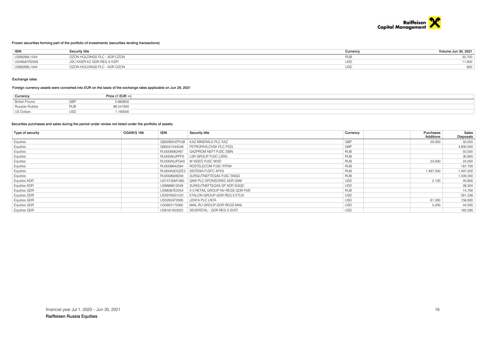

#### Frozen securities forming part of the portfolio of investments (securities lending transactions)

| <b>ISIN</b>  | Security title               | Currencv | Volume Jun 30, 2021 |
|--------------|------------------------------|----------|---------------------|
| US69269L1044 | OZON HOLDINGS PLC - ADR OZON |          | 30,700              |
| US48581R2058 | JSC KASPI.KZ GDR-REG S KSPI  | USD      | 11,900              |
| US69269L1044 | OZON HOLDINGS PLC - ADR OZON | USL      | 800                 |

#### Exchange rates

#### Foreign currency assets were converted into EUR on the basis of the exchange rates applicable on Jun 29, 2021

| Currency              |     | Price (1 EUR $=$ ) |
|-----------------------|-----|--------------------|
| <b>British Pound</b>  | GRE | 0.860600           |
| <b>Russian Rubles</b> |     | 86.541900          |
| US Dollars            |     | .190500            |

#### Securities purchases and sales during the period under review not listed under the portfolio of assets:

| Type of security    | <b>ISIN</b><br>OGAW/§ 166 | Security title                    | Currency   | Purchases        | Sales     |  |
|---------------------|---------------------------|-----------------------------------|------------|------------------|-----------|--|
|                     |                           |                                   |            | <b>Additions</b> | Disposals |  |
| Equities            | GB00B0HZPV38              | KAZ MINERALS PLC KAZ              | GBP        | 50,000           | 50,000    |  |
| Equities            | GB0031544546              | PETROPAVLOVSK PLC POG             | GBP        |                  | 4,600,000 |  |
| Equities            | RU0009062467              | GAZPROM NEFT PJSC SIBN            | <b>RUB</b> |                  | 50,000    |  |
| Equities            | RU000A0JPFP0              | LSR GROUP PJSC LSRG               | <b>RUB</b> |                  | 30,600    |  |
| Equities            | RU000A0JPGA0              | M VIDEO PJSC MVID                 | <b>RUB</b> | 24,000           | 24,000    |  |
| Equities            | RU0008943394              | ROSTELECOM PJSC RTKM              | <b>RUB</b> |                  | 187,700   |  |
| Equities            | RU000A0DQZE3              | SISTEMA PJSFC AFKS                | <b>RUB</b> | 1,497,500        | 1,497,500 |  |
| Equities            | RU0008926258              | SURGUTNEFTEGAS PJSC SNGS          | <b>RUB</b> |                  | 1,439,300 |  |
| <b>Equities ADR</b> | US74735M1080              | QIWI PLC-SPONSORED ADR QIWI       | <b>USD</b> | 2,100            | 40,800    |  |
| Equities ADR        | US8688612048              | SURGUTNEFTEGAS-SP ADR SGGD        | <b>USD</b> |                  | 38,304    |  |
| Equities GDR        | US98387E2054              | X 5 RETAIL GROUP NV-REGS GDR FIVE | <b>RUB</b> |                  | 14,700    |  |
| Equities GDR        | US29760G1031              | ETALON GROUP-GDR REG S ETLN       | <b>USD</b> |                  | 291,338   |  |
| Equities GDR        | US52634T2006              | LENTA PLC LNTA                    | <b>USD</b> | 61,300           | 156,900   |  |
| <b>Equities GDR</b> | US5603172082              | MAIL.RU GROUP-GDR REGS MAIL       | <b>USD</b> | 5.200            | 44,500    |  |
| <b>Equities GDR</b> | US8181503025              | SEVERSTAL - GDR REG S SVST        | <b>USD</b> |                  | 162,590   |  |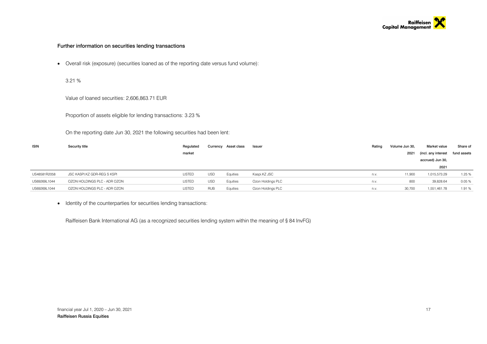

### Further information on securities lending transactions

Overall risk (exposure) (securities loaned as of the reporting date versus fund volume):

3.21 %

Value of loaned securities: 2,606,863.71 EUR

Proportion of assets eligible for lending transactions: 3.23 %

On the reporting date Jun 30, 2021 the following securities had been lent:

| <b>ISIN</b>  | Security title               | Regulated     |            | Currency Asset class | Issuer            | Ratino | Volume Jun 30, | Market value        | Share of    |
|--------------|------------------------------|---------------|------------|----------------------|-------------------|--------|----------------|---------------------|-------------|
|              |                              | market        |            |                      |                   |        | 2021           | (incl. any interest | fund assets |
|              |                              |               |            |                      |                   |        |                | accrued) Jun 30,    |             |
|              |                              |               |            |                      |                   |        |                | 2021                |             |
| US48581R2058 | JSC KASPI.KZ GDR-REG S KSPI  | <b>LISTED</b> | <b>USD</b> | Equities             | Kaspi.KZ JSC      | n.v.   | 11,900         | 1,015,573.29        | 1.25 %      |
| US69269L1044 | OZON HOLDINGS PLC - ADR OZON | <b>LISTED</b> | <b>USD</b> | Equities             | Ozon Holdings PLC | n.v.   | 800            | 39,828.64           | 0.05%       |
| US69269L1044 | OZON HOLDINGS PLC - ADR OZON | <b>LISTED</b> | <b>RUB</b> | Equities             | Ozon Holdings PLC | n.v.   | 30,700         | 1,551,461.78        | 1.91%       |

• Identity of the counterparties for securities lending transactions:

Raiffeisen Bank International AG (as a recognized securities lending system within the meaning of § 84 InvFG)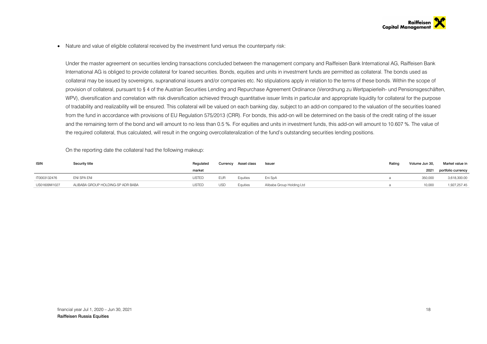• Nature and value of eligible collateral received by the investment fund versus the counterparty risk:

Under the master agreement on securities lending transactions concluded between the management company and Raiffeisen Bank International AG, Raiffeisen Bank International AG is obliged to provide collateral for loaned securities. Bonds, equities and units in investment funds are permitted as collateral. The bonds used as collateral may be issued by sovereigns, supranational issuers and/or companies etc. No stipulations apply in relation to the terms of these bonds. Within the scope of provision of collateral, pursuant to § 4 of the Austrian Securities Lending and Repurchase Agreement Ordinance (Verordnung zu Wertpapierleih- und Pensionsgeschäften, WPV), diversification and correlation with risk diversification achieved through quantitative issuer limits in particular and appropriate liquidity for collateral for the purpose of tradability and realizability will be ensured. This collateral will be valued on each banking day, subject to an add-on compared to the valuation of the securities loaned from the fund in accordance with provisions of EU Regulation 575/2013 (CRR). For bonds, this add-on will be determined on the basis of the credit rating of the issuer and the remaining term of the bond and will amount to no less than 0.5 %. For equities and units in investment funds, this add-on will amount to 10.607 %. The value of the required collateral, thus calculated, will result in the ongoing overcollateralization of the fund's outstanding securities lending positions.

On the reporting date the collateral had the following makeup:

| <b>ISIN</b>  | Security title                    | Regulated | Currency   | Asset class | Issuer                    | Rating | Volume Jun 30. | Market value in    |
|--------------|-----------------------------------|-----------|------------|-------------|---------------------------|--------|----------------|--------------------|
|              |                                   | market    |            |             |                           |        | 2021           | portfolio currency |
| IT0003132476 | ENI SPA ENI                       | LISTED    | <b>EUR</b> | Equities    | Eni SpA                   |        | 350,000        | 3,618,300.00       |
| US01609W1027 | ALIBABA GROUP HOLDING-SP ADR BABA | LISTED    | <b>USD</b> | Equities    | Alibaba Group Holding Ltd |        | 10.000         | 1,927,257.45       |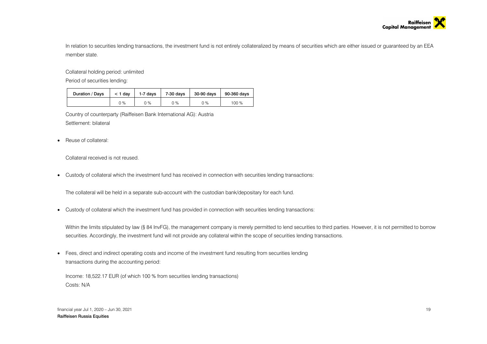

In relation to securities lending transactions, the investment fund is not entirely collateralized by means of securities which are either issued or guaranteed by an EEA member state.

Collateral holding period: unlimited

Period of securities lending:

| Duration / Days | $<$ 1 dav | 1-7 days | 7-30 days | 30-90 days | 90-360 days |
|-----------------|-----------|----------|-----------|------------|-------------|
|                 | 0 %       | ገ %      | 0 %       | $0\%$      | 100 %       |

Country of counterparty (Raiffeisen Bank International AG): Austria Settlement: bilateral

• Reuse of collateral:

Collateral received is not reused.

Custody of collateral which the investment fund has received in connection with securities lending transactions:

The collateral will be held in a separate sub-account with the custodian bank/depositary for each fund.

Custody of collateral which the investment fund has provided in connection with securities lending transactions:

Within the limits stipulated by law (§ 84 InvFG), the management company is merely permitted to lend securities to third parties. However, it is not permitted to borrow securities. Accordingly, the investment fund will not provide any collateral within the scope of securities lending transactions.

 Fees, direct and indirect operating costs and income of the investment fund resulting from securities lending transactions during the accounting period:

Income: 18,522.17 EUR (of which 100 % from securities lending transactions) Costs: N/A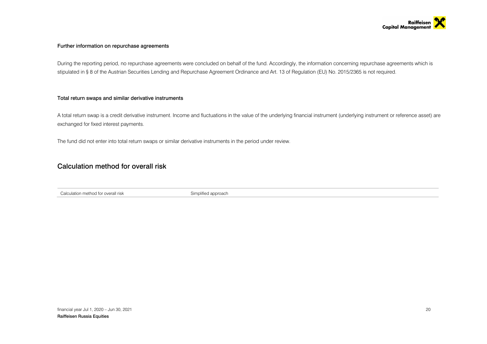

### Further information on repurchase agreements

During the reporting period, no repurchase agreements were concluded on behalf of the fund. Accordingly, the information concerning repurchase agreements which is stipulated in § 8 of the Austrian Securities Lending and Repurchase Agreement Ordinance and Art. 13 of Regulation (EU) No. 2015/2365 is not required.

### Total return swaps and similar derivative instruments

A total return swap is a credit derivative instrument. Income and fluctuations in the value of the underlying financial instrument (underlying instrument or reference asset) are exchanged for fixed interest payments.

The fund did not enter into total return swaps or similar derivative instruments in the period under review.

# Calculation method for overall risk

Calculation method for overall risk Simplified approach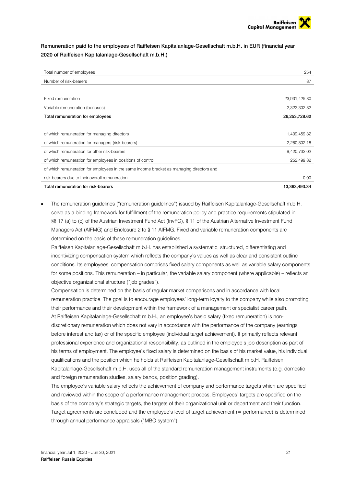# Remuneration paid to the employees of Raiffeisen Kapitalanlage-Gesellschaft m.b.H. in EUR (financial year 2020 of Raiffeisen Kapitalanlage-Gesellschaft m.b.H.)

| Total number of employees                                                                | 254           |
|------------------------------------------------------------------------------------------|---------------|
| Number of risk-bearers                                                                   | 87            |
|                                                                                          |               |
| Fixed remuneration                                                                       | 23,931,425.80 |
| Variable remuneration (bonuses)                                                          | 2,322,302.82  |
| Total remuneration for employees                                                         | 26,253,728.62 |
|                                                                                          |               |
| of which remuneration for managing directors                                             | 1,409,459.32  |
| of which remuneration for managers (risk-bearers)                                        | 2,280,802.18  |
| of which remuneration for other risk-bearers                                             | 9,420,732.02  |
| of which remuneration for employees in positions of control                              | 252,499.82    |
| of which remuneration for employees in the same income bracket as managing directors and |               |
| risk-bearers due to their overall remuneration                                           | 0.00          |
| Total remuneration for risk-bearers                                                      | 13,363,493.34 |

 The remuneration guidelines ("remuneration guidelines") issued by Raiffeisen Kapitalanlage-Gesellschaft m.b.H. serve as a binding framework for fulfillment of the remuneration policy and practice requirements stipulated in §§ 17 (a) to (c) of the Austrian Investment Fund Act (InvFG), § 11 of the Austrian Alternative Investment Fund Managers Act (AIFMG) and Enclosure 2 to § 11 AIFMG. Fixed and variable remuneration components are determined on the basis of these remuneration guidelines.

Raiffeisen Kapitalanlage-Gesellschaft m.b.H. has established a systematic, structured, differentiating and incentivizing compensation system which reflects the company's values as well as clear and consistent outline conditions. Its employees' compensation comprises fixed salary components as well as variable salary components for some positions. This remuneration – in particular, the variable salary component (where applicable) – reflects an objective organizational structure ("job grades").

Compensation is determined on the basis of regular market comparisons and in accordance with local remuneration practice. The goal is to encourage employees' long-term loyalty to the company while also promoting their performance and their development within the framework of a management or specialist career path. At Raiffeisen Kapitalanlage-Gesellschaft m.b.H., an employee's basic salary (fixed remuneration) is nondiscretionary remuneration which does not vary in accordance with the performance of the company (earnings before interest and tax) or of the specific employee (individual target achievement). It primarily reflects relevant professional experience and organizational responsibility, as outlined in the employee's job description as part of his terms of employment. The employee's fixed salary is determined on the basis of his market value, his individual qualifications and the position which he holds at Raiffeisen Kapitalanlage-Gesellschaft m.b.H. Raiffeisen Kapitalanlage-Gesellschaft m.b.H. uses all of the standard remuneration management instruments (e.g. domestic and foreign remuneration studies, salary bands, position grading).

The employee's variable salary reflects the achievement of company and performance targets which are specified and reviewed within the scope of a performance management process. Employees' targets are specified on the basis of the company's strategic targets, the targets of their organizational unit or department and their function. Target agreements are concluded and the employee's level of target achievement (= performance) is determined through annual performance appraisals ("MBO system").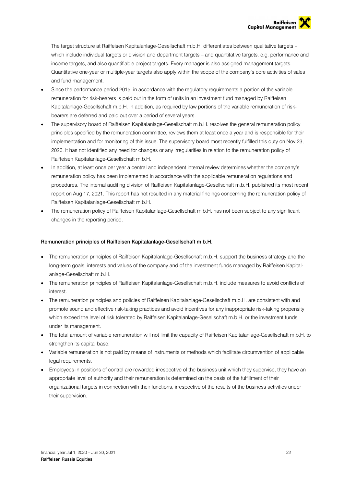The target structure at Raiffeisen Kapitalanlage-Gesellschaft m.b.H. differentiates between qualitative targets – which include individual targets or division and department targets – and quantitative targets, e.g. performance and income targets, and also quantifiable project targets. Every manager is also assigned management targets. Quantitative one-year or multiple-year targets also apply within the scope of the company's core activities of sales and fund management.

- Since the performance period 2015, in accordance with the regulatory requirements a portion of the variable remuneration for risk-bearers is paid out in the form of units in an investment fund managed by Raiffeisen Kapitalanlage-Gesellschaft m.b.H. In addition, as required by law portions of the variable remuneration of riskbearers are deferred and paid out over a period of several years.
- The supervisory board of Raiffeisen Kapitalanlage-Gesellschaft m.b.H. resolves the general remuneration policy principles specified by the remuneration committee, reviews them at least once a year and is responsible for their implementation and for monitoring of this issue. The supervisory board most recently fulfilled this duty on Nov 23, 2020. It has not identified any need for changes or any irregularities in relation to the remuneration policy of Raiffeisen Kapitalanlage-Gesellschaft m.b.H.
- In addition, at least once per year a central and independent internal review determines whether the company's remuneration policy has been implemented in accordance with the applicable remuneration regulations and procedures. The internal auditing division of Raiffeisen Kapitalanlage-Gesellschaft m.b.H. published its most recent report on Aug 17, 2021. This report has not resulted in any material findings concerning the remuneration policy of Raiffeisen Kapitalanlage-Gesellschaft m.b.H.
- The remuneration policy of Raiffeisen Kapitalanlage-Gesellschaft m.b.H. has not been subject to any significant changes in the reporting period.

### Remuneration principles of Raiffeisen Kapitalanlage-Gesellschaft m.b.H.

- The remuneration principles of Raiffeisen Kapitalanlage-Gesellschaft m.b.H. support the business strategy and the long-term goals, interests and values of the company and of the investment funds managed by Raiffeisen Kapitalanlage-Gesellschaft m.b.H.
- The remuneration principles of Raiffeisen Kapitalanlage-Gesellschaft m.b.H. include measures to avoid conflicts of interest.
- The remuneration principles and policies of Raiffeisen Kapitalanlage-Gesellschaft m.b.H. are consistent with and promote sound and effective risk-taking practices and avoid incentives for any inappropriate risk-taking propensity which exceed the level of risk tolerated by Raiffeisen Kapitalanlage-Gesellschaft m.b.H. or the investment funds under its management.
- The total amount of variable remuneration will not limit the capacity of Raiffeisen Kapitalanlage-Gesellschaft m.b.H. to strengthen its capital base.
- Variable remuneration is not paid by means of instruments or methods which facilitate circumvention of applicable legal requirements.
- Employees in positions of control are rewarded irrespective of the business unit which they supervise, they have an appropriate level of authority and their remuneration is determined on the basis of the fulfillment of their organizational targets in connection with their functions, irrespective of the results of the business activities under their supervision.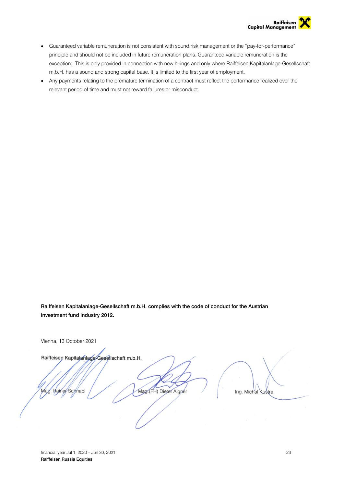

- Guaranteed variable remuneration is not consistent with sound risk management or the "pay-for-performance" principle and should not be included in future remuneration plans. Guaranteed variable remuneration is the exception:, This is only provided in connection with new hirings and only where Raiffeisen Kapitalanlage-Gesellschaft m.b.H. has a sound and strong capital base. It is limited to the first year of employment.
- Any payments relating to the premature termination of a contract must reflect the performance realized over the relevant period of time and must not reward failures or misconduct.

Raiffeisen Kapitalanlage-Gesellschaft m.b.H. complies with the code of conduct for the Austrian investment fund industry 2012.

Vienna, 13 October 2021 Raiffeisen Kapitalanlage-Gesellschaft m.b.H. Mag. (FH) Dieter Aigner Rainer Schnabl Mag. Ing. Michal Kustra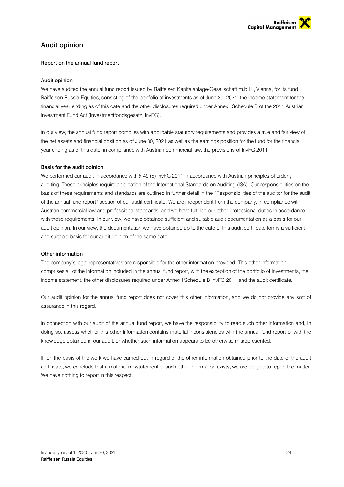

# Audit opinion

### Report on the annual fund report

### Audit opinion

We have audited the annual fund report issued by Raiffeisen Kapitalanlage-Gesellschaft m.b.H., Vienna, for its fund Raiffeisen Russia Equities, consisting of the portfolio of investments as of June 30, 2021, the income statement for the financial year ending as of this date and the other disclosures required under Annex I Schedule B of the 2011 Austrian Investment Fund Act (Investmentfondsgesetz, InvFG).

In our view, the annual fund report complies with applicable statutory requirements and provides a true and fair view of the net assets and financial position as of June 30, 2021 as well as the earnings position for the fund for the financial year ending as of this date, in compliance with Austrian commercial law, the provisions of InvFG 2011.

### Basis for the audit opinion

We performed our audit in accordance with § 49 (5) InvFG 2011 in accordance with Austrian principles of orderly auditing. These principles require application of the International Standards on Auditing (ISA). Our responsibilities on the basis of these requirements and standards are outlined in further detail in the "Responsibilities of the auditor for the audit of the annual fund report" section of our audit certificate. We are independent from the company, in compliance with Austrian commercial law and professional standards, and we have fulfilled our other professional duties in accordance with these requirements. In our view, we have obtained sufficient and suitable audit documentation as a basis for our audit opinion. In our view, the documentation we have obtained up to the date of this audit certificate forms a sufficient and suitable basis for our audit opinion of the same date.

### Other information

The company's legal representatives are responsible for the other information provided. This other information comprises all of the information included in the annual fund report, with the exception of the portfolio of investments, the income statement, the other disclosures required under Annex I Schedule B InvFG 2011 and the audit certificate.

Our audit opinion for the annual fund report does not cover this other information, and we do not provide any sort of assurance in this regard.

In connection with our audit of the annual fund report, we have the responsibility to read such other information and, in doing so, assess whether this other information contains material inconsistencies with the annual fund report or with the knowledge obtained in our audit, or whether such information appears to be otherwise misrepresented.

If, on the basis of the work we have carried out in regard of the other information obtained prior to the date of the audit certificate, we conclude that a material misstatement of such other information exists, we are obliged to report the matter. We have nothing to report in this respect.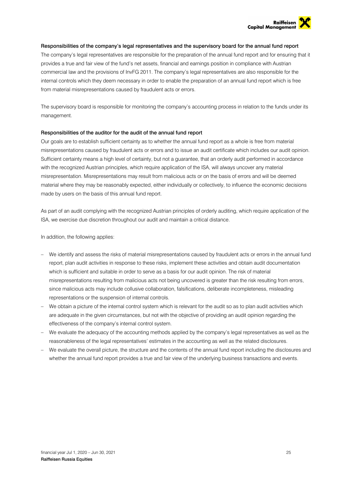

### Responsibilities of the company's legal representatives and the supervisory board for the annual fund report

The company's legal representatives are responsible for the preparation of the annual fund report and for ensuring that it provides a true and fair view of the fund's net assets, financial and earnings position in compliance with Austrian commercial law and the provisions of InvFG 2011. The company's legal representatives are also responsible for the internal controls which they deem necessary in order to enable the preparation of an annual fund report which is free from material misrepresentations caused by fraudulent acts or errors.

The supervisory board is responsible for monitoring the company's accounting process in relation to the funds under its management.

### Responsibilities of the auditor for the audit of the annual fund report

Our goals are to establish sufficient certainty as to whether the annual fund report as a whole is free from material misrepresentations caused by fraudulent acts or errors and to issue an audit certificate which includes our audit opinion. Sufficient certainty means a high level of certainty, but not a guarantee, that an orderly audit performed in accordance with the recognized Austrian principles, which require application of the ISA, will always uncover any material misrepresentation. Misrepresentations may result from malicious acts or on the basis of errors and will be deemed material where they may be reasonably expected, either individually or collectively, to influence the economic decisions made by users on the basis of this annual fund report.

As part of an audit complying with the recognized Austrian principles of orderly auditing, which require application of the ISA, we exercise due discretion throughout our audit and maintain a critical distance.

In addition, the following applies:

- We identify and assess the risks of material misrepresentations caused by fraudulent acts or errors in the annual fund report, plan audit activities in response to these risks, implement these activities and obtain audit documentation which is sufficient and suitable in order to serve as a basis for our audit opinion. The risk of material misrepresentations resulting from malicious acts not being uncovered is greater than the risk resulting from errors, since malicious acts may include collusive collaboration, falsifications, deliberate incompleteness, misleading representations or the suspension of internal controls.
- We obtain a picture of the internal control system which is relevant for the audit so as to plan audit activities which are adequate in the given circumstances, but not with the objective of providing an audit opinion regarding the effectiveness of the company's internal control system.
- We evaluate the adequacy of the accounting methods applied by the company's legal representatives as well as the reasonableness of the legal representatives' estimates in the accounting as well as the related disclosures.
- We evaluate the overall picture, the structure and the contents of the annual fund report including the disclosures and whether the annual fund report provides a true and fair view of the underlying business transactions and events.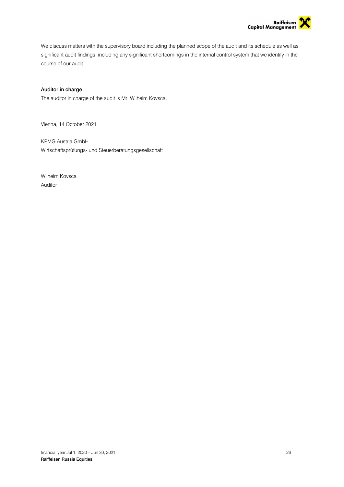

We discuss matters with the supervisory board including the planned scope of the audit and its schedule as well as significant audit findings, including any significant shortcomings in the internal control system that we identify in the course of our audit.

### Auditor in charge

The auditor in charge of the audit is Mr. Wilhelm Kovsca.

Vienna, 14 October 2021

KPMG Austria GmbH Wirtschaftsprüfungs- und Steuerberatungsgesellschaft

Wilhelm Kovsca Auditor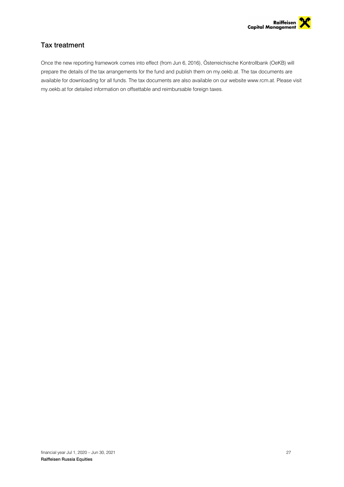

# Tax treatment

Once the new reporting framework comes into effect (from Jun 6, 2016), Österreichische Kontrollbank (OeKB) will prepare the details of the tax arrangements for the fund and publish them on my.oekb.at. The tax documents are available for downloading for all funds. The tax documents are also available on our website www.rcm.at. Please visit my.oekb.at for detailed information on offsettable and reimbursable foreign taxes.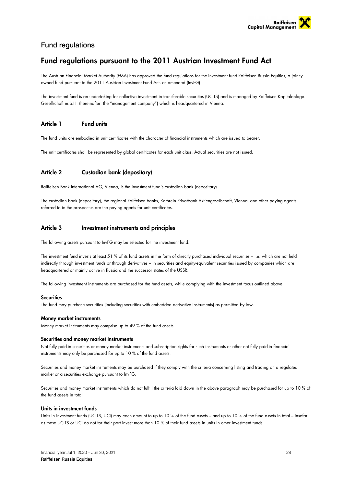

# Fund regulations

# Fund regulations pursuant to the 2011 Austrian Investment Fund Act

The Austrian Financial Market Authority (FMA) has approved the fund regulations for the investment fund Raiffeisen Russia Equities, a jointly owned fund pursuant to the 2011 Austrian Investment Fund Act, as amended (InvFG).

The investment fund is an undertaking for collective investment in transferable securities (UCITS) and is managed by Raiffeisen Kapitalanlage-Gesellschaft m.b.H. (hereinafter: the "management company") which is headquartered in Vienna.

## Article 1 Fund units

The fund units are embodied in unit certificates with the character of financial instruments which are issued to bearer.

The unit certificates shall be represented by global certificates for each unit class. Actual securities are not issued.

# Article 2 Custodian bank (depositary)

Raiffeisen Bank International AG, Vienna, is the investment fund's custodian bank (depositary).

The custodian bank (depositary), the regional Raiffeisen banks, Kathrein Privatbank Aktiengesellschaft, Vienna, and other paying agents referred to in the prospectus are the paying agents for unit certificates.

### Article 3 Investment instruments and principles

The following assets pursuant to InvFG may be selected for the investment fund.

The investment fund invests at least 51 % of its fund assets in the form of directly purchased individual securities – i.e. which are not held indirectly through investment funds or through derivatives – in securities and equity-equivalent securities issued by companies which are headquartered or mainly active in Russia and the successor states of the USSR.

The following investment instruments are purchased for the fund assets, while complying with the investment focus outlined above.

### Securities

The fund may purchase securities (including securities with embedded derivative instruments) as permitted by law.

### Money market instruments

Money market instruments may comprise up to 49 % of the fund assets.

### Securities and money market instruments

Not fully paid-in securities or money market instruments and subscription rights for such instruments or other not fully paid-in financial instruments may only be purchased for up to 10 % of the fund assets.

Securities and money market instruments may be purchased if they comply with the criteria concerning listing and trading on a regulated market or a securities exchange pursuant to InvFG.

Securities and money market instruments which do not fulfill the criteria laid down in the above paragraph may be purchased for up to 10 % of the fund assets in total.

### Units in investment funds

Units in investment funds (UCITS, UCI) may each amount to up to 10 % of the fund assets – and up to 10 % of the fund assets in total – insofar as these UCITS or UCI do not for their part invest more than 10 % of their fund assets in units in other investment funds.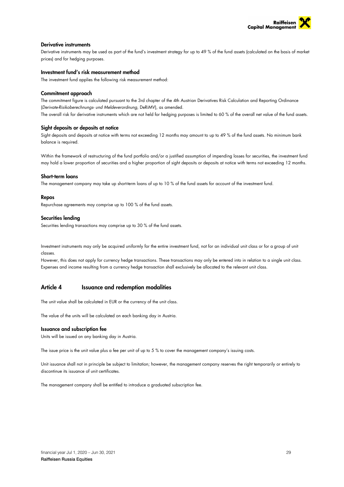

### Derivative instruments

Derivative instruments may be used as part of the fund's investment strategy for up to 49 % of the fund assets (calculated on the basis of market prices) and for hedging purposes.

### Investment fund's risk measurement method

The investment fund applies the following risk measurement method:

#### Commitment approach

The commitment figure is calculated pursuant to the 3rd chapter of the 4th Austrian Derivatives Risk Calculation and Reporting Ordinance (*Derivate-Risikoberechnungs- und Meldeverordnung*, DeRiMV), as amended. The overall risk for derivative instruments which are not held for hedging purposes is limited to 60 % of the overall net value of the fund assets.

### Sight deposits or deposits at notice

Sight deposits and deposits at notice with terms not exceeding 12 months may amount to up to 49 % of the fund assets. No minimum bank balance is required.

Within the framework of restructuring of the fund portfolio and/or a justified assumption of impending losses for securities, the investment fund may hold a lower proportion of securities and a higher proportion of sight deposits or deposits at notice with terms not exceeding 12 months.

#### Short-term loans

The management company may take up short-term loans of up to 10 % of the fund assets for account of the investment fund.

#### Repos

Repurchase agreements may comprise up to 100 % of the fund assets.

#### Securities lending

Securities lending transactions may comprise up to 30 % of the fund assets.

Investment instruments may only be acquired uniformly for the entire investment fund, not for an individual unit class or for a group of unit classes.

However, this does not apply for currency hedge transactions. These transactions may only be entered into in relation to a single unit class. Expenses and income resulting from a currency hedge transaction shall exclusively be allocated to the relevant unit class.

# Article 4 Issuance and redemption modalities

The unit value shall be calculated in EUR or the currency of the unit class.

The value of the units will be calculated on each banking day in Austria.

#### Issuance and subscription fee

Units will be issued on any banking day in Austria.

The issue price is the unit value plus a fee per unit of up to 5 % to cover the management company's issuing costs.

Unit issuance shall not in principle be subject to limitation; however, the management company reserves the right temporarily or entirely to discontinue its issuance of unit certificates.

The management company shall be entitled to introduce a graduated subscription fee.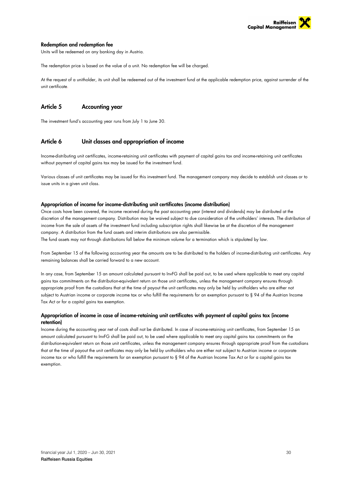

### Redemption and redemption fee

Units will be redeemed on any banking day in Austria.

The redemption price is based on the value of a unit. No redemption fee will be charged.

At the request of a unitholder, its unit shall be redeemed out of the investment fund at the applicable redemption price, against surrender of the unit certificate.

# Article 5 Accounting year

The investment fund's accounting year runs from July 1 to June 30.

### Article 6 Unit classes and appropriation of income

Income-distributing unit certificates, income-retaining unit certificates with payment of capital gains tax and income-retaining unit certificates without payment of capital gains tax may be issued for the investment fund.

Various classes of unit certificates may be issued for this investment fund. The management company may decide to establish unit classes or to issue units in a given unit class.

### Appropriation of income for income-distributing unit certificates (income distribution)

Once costs have been covered, the income received during the past accounting year (interest and dividends) may be distributed at the discretion of the management company. Distribution may be waived subject to due consideration of the unitholders' interests. The distribution of income from the sale of assets of the investment fund including subscription rights shall likewise be at the discretion of the management company. A distribution from the fund assets and interim distributions are also permissible.

The fund assets may not through distributions fall below the minimum volume for a termination which is stipulated by law.

From September 15 of the following accounting year the amounts are to be distributed to the holders of income-distributing unit certificates. Any remaining balances shall be carried forward to a new account.

In any case, from September 15 an amount calculated pursuant to InvFG shall be paid out, to be used where applicable to meet any capital gains tax commitments on the distribution-equivalent return on those unit certificates, unless the management company ensures through appropriate proof from the custodians that at the time of payout the unit certificates may only be held by unitholders who are either not subject to Austrian income or corporate income tax or who fulfill the requirements for an exemption pursuant to § 94 of the Austrian Income Tax Act or for a capital gains tax exemption.

### Appropriation of income in case of income-retaining unit certificates with payment of capital gains tax (income retention)

Income during the accounting year net of costs shall not be distributed. In case of income-retaining unit certificates, from September 15 an amount calculated pursuant to InvFG shall be paid out, to be used where applicable to meet any capital gains tax commitments on the distribution-equivalent return on those unit certificates, unless the management company ensures through appropriate proof from the custodians that at the time of payout the unit certificates may only be held by unitholders who are either not subject to Austrian income or corporate income tax or who fulfill the requirements for an exemption pursuant to § 94 of the Austrian Income Tax Act or for a capital gains tax exemption.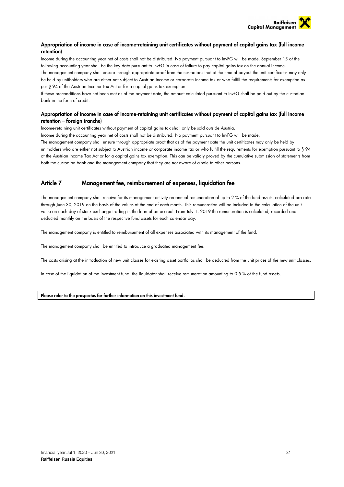

## Appropriation of income in case of income-retaining unit certificates without payment of capital gains tax (full income retention)

Income during the accounting year net of costs shall not be distributed. No payment pursuant to InvFG will be made. September 15 of the following accounting year shall be the key date pursuant to InvFG in case of failure to pay capital gains tax on the annual income.

The management company shall ensure through appropriate proof from the custodians that at the time of payout the unit certificates may only be held by unitholders who are either not subject to Austrian income or corporate income tax or who fulfill the requirements for exemption as per § 94 of the Austrian Income Tax Act or for a capital gains tax exemption.

If these preconditions have not been met as of the payment date, the amount calculated pursuant to InvFG shall be paid out by the custodian bank in the form of credit.

### Appropriation of income in case of income-retaining unit certificates without payment of capital gains tax (full income retention – foreign tranche)

Income-retaining unit certificates without payment of capital gains tax shall only be sold outside Austria.

Income during the accounting year net of costs shall not be distributed. No payment pursuant to InvFG will be made.

The management company shall ensure through appropriate proof that as of the payment date the unit certificates may only be held by

unitholders who are either not subject to Austrian income or corporate income tax or who fulfill the requirements for exemption pursuant to § 94 of the Austrian Income Tax Act or for a capital gains tax exemption. This can be validly proved by the cumulative submission of statements from both the custodian bank and the management company that they are not aware of a sale to other persons.

# Article 7 Management fee, reimbursement of expenses, liquidation fee

The management company shall receive for its management activity an annual remuneration of up to 2 % of the fund assets, calculated pro rata through June 30, 2019 on the basis of the values at the end of each month. This remuneration will be included in the calculation of the unit value on each day of stock exchange trading in the form of an accrual. From July 1, 2019 the remuneration is calculated, recorded and deducted monthly on the basis of the respective fund assets for each calendar day.

The management company is entitled to reimbursement of all expenses associated with its management of the fund.

The management company shall be entitled to introduce a graduated management fee.

The costs arising at the introduction of new unit classes for existing asset portfolios shall be deducted from the unit prices of the new unit classes.

In case of the liquidation of the investment fund, the liquidator shall receive remuneration amounting to 0.5 % of the fund assets.

Please refer to the prospectus for further information on this investment fund.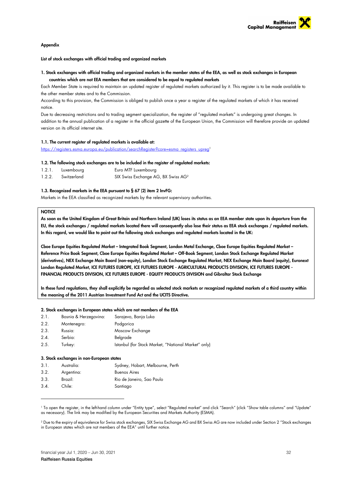

#### Appendix

List of stock exchanges with official trading and organized markets

### 1. Stock exchanges with official trading and organized markets in the member states of the EEA, as well as stock exchanges in European countries which are not EEA members that are considered to be equal to regulated markets

Each Member State is required to maintain an updated register of regulated markets authorized by it. This register is to be made available to the other member states and to the Commission.

According to this provision, the Commission is obliged to publish once a year a register of the regulated markets of which it has received notice.

Due to decreasing restrictions and to trading segment specialization, the register of "regulated markets" is undergoing great changes. In addition to the annual publication of a register in the official gazette of the European Union, the Commission will therefore provide an updated version on its official internet site.

### 1.1. The current register of regulated markets is available at:

https://registers.esma.europa.eu/publication/searchRegister?core=esma\_registers\_upreg1

#### 1.2. The following stock exchanges are to be included in the register of regulated markets:

| 1.2.1. | Luxembourg  | Euro MTF Luxembourg                             |
|--------|-------------|-------------------------------------------------|
| 1.2.2. | Switzerland | SIX Swiss Exchange AG, BX Swiss AG <sup>2</sup> |

### 1.3. Recognized markets in the EEA pursuant to § 67 (2) item 2 InvFG:

Markets in the EEA classified as recognized markets by the relevant supervisory authorities.

### **NOTICE**

As soon as the United Kingdom of Great Britain and Northern Ireland (UK) loses its status as an EEA member state upon its departure from the EU, the stock exchanges / regulated markets located there will consequently also lose their status as EEA stock exchanges / regulated markets. In this regard, we would like to point out the following stock exchanges and regulated markets located in the UK:

Cboe Europe Equities Regulated Market – Integrated Book Segment, London Metal Exchange, Cboe Europe Equities Regulated Market – Reference Price Book Segment, Cboe Europe Equities Regulated Market – Off-Book Segment, London Stock Exchange Regulated Market (derivatives), NEX Exchange Main Board (non-equity), London Stock Exchange Regulated Market, NEX Exchange Main Board (equity), Euronext London Regulated Market, ICE FUTURES EUROPE, ICE FUTURES EUROPE - AGRICULTURAL PRODUCTS DIVISION, ICE FUTURES EUROPE - FINANCIAL PRODUCTS DIVISION, ICE FUTURES EUROPE - EQUITY PRODUCTS DIVISION and Gibraltar Stock Exchange

In these fund regulations, they shall explicitly be regarded as selected stock markets or recognized regulated markets of a third country within the meaning of the 2011 Austrian Investment Fund Act and the UCITS Directive.

#### 2. Stock exchanges in European states which are not members of the EEA

| 2.1. | Bosnia & Herzegovina: | Sarajevo, Banja Luka                                |
|------|-----------------------|-----------------------------------------------------|
| 2.2. | Montenegro:           | Podgorica                                           |
| 2.3. | Russia:               | Moscow Exchange                                     |
| 2.4. | Serbia:               | Belgrade                                            |
| 2.5. | Turkey:               | Istanbul (for Stock Market, "National Market" only) |
|      |                       |                                                     |

#### 3. Stock exchanges in non-European states

| 3.1. | Australia: | Sydney, Hobart, Melbourne, Perth |
|------|------------|----------------------------------|
| 3.2. | Argentina: | <b>Buenos Aires</b>              |
| 3.3. | Brazil:    | Rio de Janeiro, Sao Paulo        |
| 3.4. | Chile:     | Santiago                         |

1 To open the register, in the left-hand column under "Entity type", select "Regulated market" and click "Search" (click "Show table columns" and "Update" as necessary). The link may be modified by the European Securities and Markets Authority (ESMA).

2 Due to the expiry of equivalence for Swiss stock exchanges, SIX Swiss Exchange AG and BX Swiss AG are now included under Section 2 "Stock exchanges in European states which are not members of the EEA" until further notice.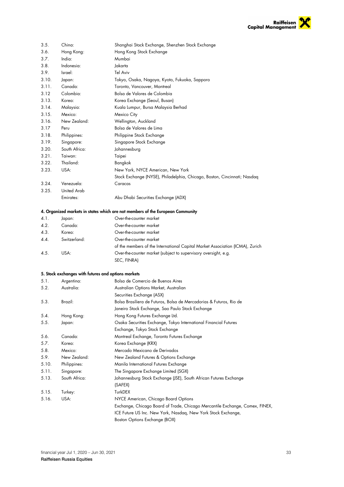

| 3.5.  | China:                                              | Shanghai Stock Exchange, Shenzhen Stock Exchange                               |
|-------|-----------------------------------------------------|--------------------------------------------------------------------------------|
| 3.6.  | Hong Kong:                                          | Hong Kong Stock Exchange                                                       |
| 3.7.  | India:                                              | Mumbai                                                                         |
| 3.8.  | Indonesia:                                          | Jakarta                                                                        |
| 3.9.  | Israel:                                             | Tel Aviv                                                                       |
| 3.10. | Japan:                                              | Tokyo, Osaka, Nagoya, Kyoto, Fukuoka, Sapporo                                  |
| 3.11. | Canada:                                             | Toronto, Vancouver, Montreal                                                   |
| 3.12  | Colombia:                                           | Bolsa de Valores de Colombia                                                   |
| 3.13. | Korea:                                              | Korea Exchange (Seoul, Busan)                                                  |
| 3.14. | Malaysia:                                           | Kuala Lumpur, Bursa Malaysia Berhad                                            |
| 3.15. | Mexico:                                             | Mexico City                                                                    |
| 3.16. | New Zealand:                                        | Wellington, Auckland                                                           |
| 3.17  | Peru                                                | Bolsa de Valores de Lima                                                       |
| 3.18. | Philippines:                                        | Philippine Stock Exchange                                                      |
| 3.19. | Singapore:                                          | Singapore Stock Exchange                                                       |
| 3.20. | South Africa:                                       | Johannesburg                                                                   |
| 3.21. | Taiwan:                                             | Taipei                                                                         |
| 3.22. | Thailand:                                           | Bangkok                                                                        |
| 3.23. | USA:                                                | New York, NYCE American, New York                                              |
|       |                                                     | Stock Exchange (NYSE), Philadelphia, Chicago, Boston, Cincinnati; Nasdaq       |
| 3.24. | Venezuela:                                          | Caracas                                                                        |
| 3.25. | United Arab                                         |                                                                                |
|       | Emirates:                                           | Abu Dhabi Securities Exchange (ADX)                                            |
|       |                                                     |                                                                                |
|       |                                                     | 4. Organized markets in states which are not members of the European Community |
| 4.1.  | Japan:                                              | Over-the-counter market                                                        |
| 4.2.  | Canada:                                             | Over-the-counter market                                                        |
| 4.3.  | Korea:                                              | Over-the-counter market                                                        |
| 4.4.  | Switzerland:                                        | Over-the-counter market                                                        |
|       |                                                     | of the members of the International Capital Market Association (ICMA), Zurich  |
| 4.5.  | USA:                                                | Over-the-counter market (subject to supervisory oversight, e.g.                |
|       |                                                     | SEC, FINRA)                                                                    |
|       |                                                     |                                                                                |
|       | 5. Stock exchanges with futures and options markets |                                                                                |
| 5.1.  | Argentina:                                          | Bolsa de Comercio de Buenos Aires                                              |
| 5.2.  | Australia:                                          | Australian Options Market, Australian                                          |
|       |                                                     | Securities Exchange (ASX)                                                      |
| 5.3.  | Brazil:                                             | Bolsa Brasiliera de Futuros, Bolsa de Mercadorias & Futuros, Rio de            |
|       |                                                     | Janeiro Stock Exchange, Sao Paulo Stock Exchange                               |
| 5.4.  | Hong Kong:                                          | Hong Kong Futures Exchange Ltd.                                                |
| 5.5.  | Japan:                                              | Osaka Securities Exchange, Tokyo International Financial Futures               |
|       |                                                     | Exchange, Tokyo Stock Exchange                                                 |
| 5.6.  | Canada:                                             | Montreal Exchange, Toronto Futures Exchange                                    |
| 5.7.  | Korea:                                              | Korea Exchange (KRX)                                                           |
| 5.8.  | Mexico:                                             | Mercado Mexicano de Derivados                                                  |
| 5.9.  | New Zealand:                                        | New Zealand Futures & Options Exchange                                         |
| 5.10. | Philippines:                                        | Manila International Futures Exchange                                          |
| 5.11. | Singapore:                                          | The Singapore Exchange Limited (SGX)                                           |
| 5.13. | South Africa:                                       | Johannesburg Stock Exchange (JSE), South African Futures Exchange              |
|       |                                                     | (SAFEX)                                                                        |
| 5.15. | Turkey:                                             | TurkDEX                                                                        |
| 5.16. | USA:                                                | NYCE American, Chicago Board Options                                           |
|       |                                                     | Exchange, Chicago Board of Trade, Chicago Mercantile Exchange, Comex, FINEX,   |
|       |                                                     | ICE Future US Inc. New York, Nasdaq, New York Stock Exchange,                  |
|       |                                                     | Boston Options Exchange (BOX)                                                  |